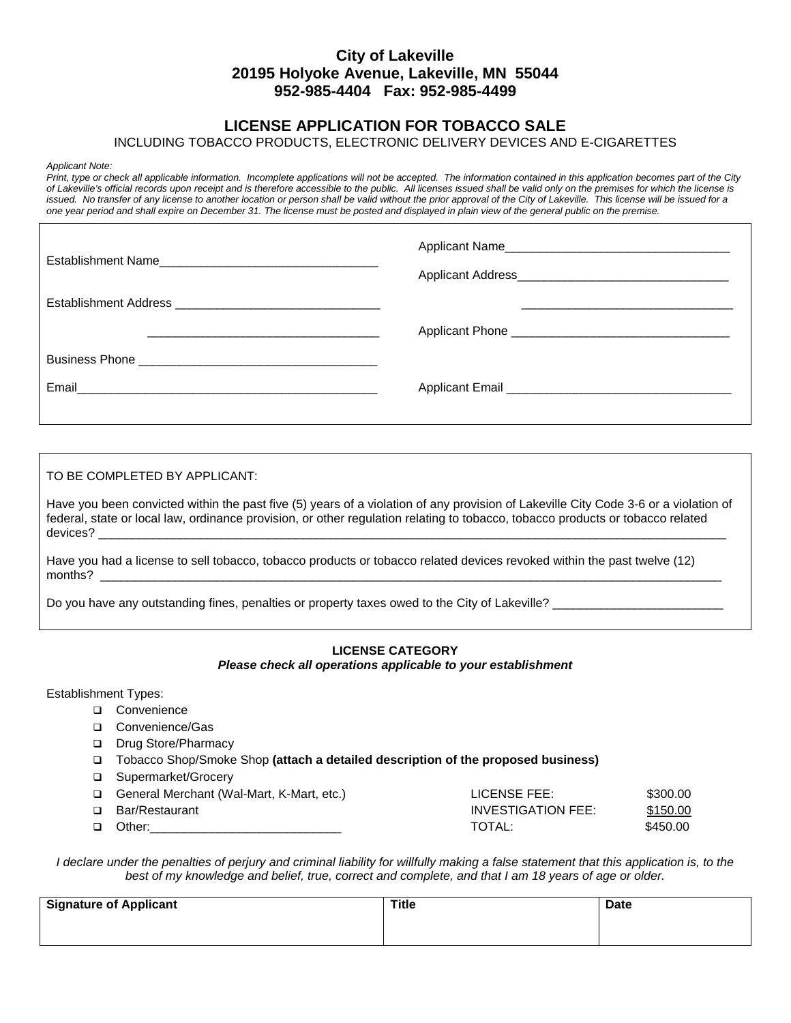## **City of Lakeville 20195 Holyoke Avenue, Lakeville, MN 55044 952-985-4404 Fax: 952-985-4499**

## **LICENSE APPLICATION FOR TOBACCO SALE**

### INCLUDING TOBACCO PRODUCTS, ELECTRONIC DELIVERY DEVICES AND E-CIGARETTES

*Applicant Note:*

*Print, type or check all applicable information. Incomplete applications will not be accepted. The information contained in this application becomes part of the City of Lakeville's official records upon receipt and is therefore accessible to the public. All licenses issued shall be valid only on the premises for which the license is*  issued. No transfer of any license to another location or person shall be valid without the prior approval of the City of Lakeville. This license will be issued for a *one year period and shall expire on December 31. The license must be posted and displayed in plain view of the general public on the premise.* 

TO BE COMPLETED BY APPLICANT:

Have you been convicted within the past five (5) years of a violation of any provision of Lakeville City Code 3-6 or a violation of federal, state or local law, ordinance provision, or other regulation relating to tobacco, tobacco products or tobacco related devices? \_\_\_\_\_\_\_\_\_\_\_\_\_\_\_\_\_\_\_\_\_\_\_\_\_\_\_\_\_\_\_\_\_\_\_\_\_\_\_\_\_\_\_\_\_\_\_\_\_\_\_\_\_\_\_\_\_\_\_\_\_\_\_\_\_\_\_\_\_\_\_\_\_\_\_\_\_\_\_\_\_\_\_\_\_\_\_\_\_\_\_\_

Have you had a license to sell tobacco, tobacco products or tobacco related devices revoked within the past twelve (12) months? \_\_\_\_\_\_\_\_\_\_\_\_\_\_\_\_\_\_\_\_\_\_\_\_\_\_\_\_\_\_\_\_\_\_\_\_\_\_\_\_\_\_\_\_\_\_\_\_\_\_\_\_\_\_\_\_\_\_\_\_\_\_\_\_\_\_\_\_\_\_\_\_\_\_\_\_\_\_\_\_\_\_\_\_\_\_\_\_\_\_\_

Do you have any outstanding fines, penalties or property taxes owed to the City of Lakeville?

#### **LICENSE CATEGORY**  *Please check all operations applicable to your establishment*

Establishment Types:

- □ Convenience
- □ Convenience/Gas
- □ Drug Store/Pharmacy
- Tobacco Shop/Smoke Shop **(attach a detailed description of the proposed business)**
- □ Supermarket/Grocery

| General Merchant (Wal-Mart, K-Mart, etc.) | LICENSE FEE:       | \$300.00 |
|-------------------------------------------|--------------------|----------|
| □ Bar/Restaurant                          | INVESTIGATION FEE: | \$150.00 |
| □ Other:                                  | TOTAL:             | \$450.00 |

*I declare under the penalties of perjury and criminal liability for willfully making a false statement that this application is, to the best of my knowledge and belief, true, correct and complete, and that I am 18 years of age or older.*

| <b>Signature of Applicant</b> | <b>Title</b> | <b>Date</b> |
|-------------------------------|--------------|-------------|
|                               |              |             |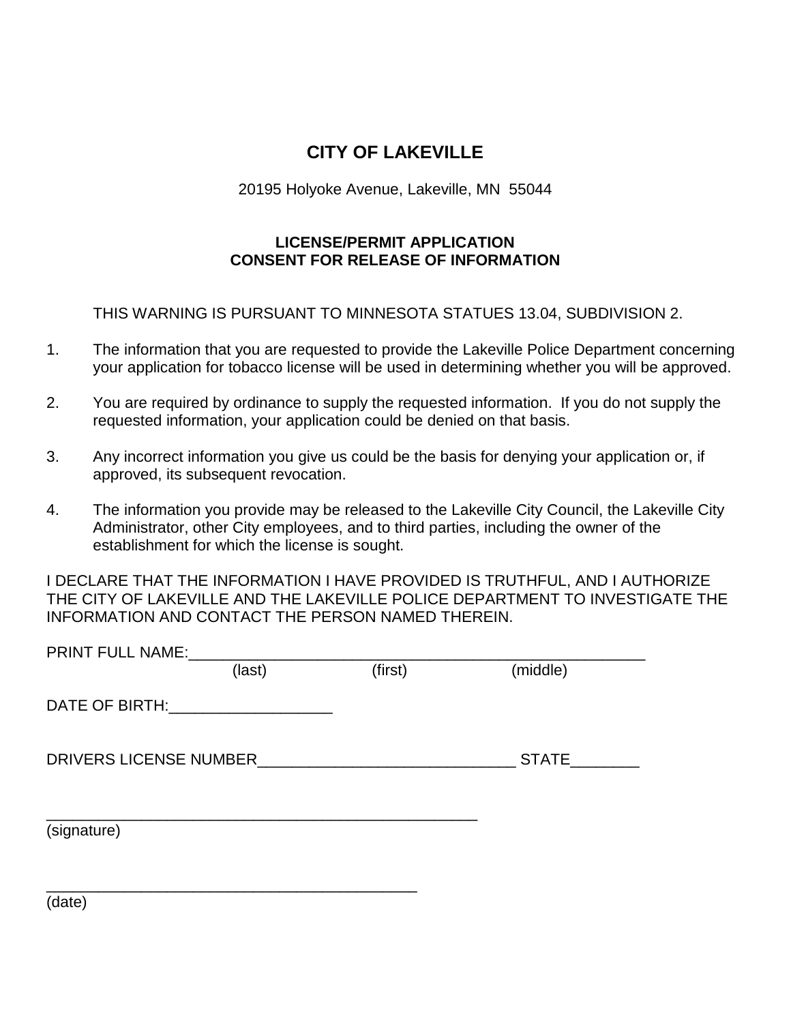# **CITY OF LAKEVILLE**

20195 Holyoke Avenue, Lakeville, MN 55044

# **LICENSE/PERMIT APPLICATION CONSENT FOR RELEASE OF INFORMATION**

THIS WARNING IS PURSUANT TO MINNESOTA STATUES 13.04, SUBDIVISION 2.

- 1. The information that you are requested to provide the Lakeville Police Department concerning your application for tobacco license will be used in determining whether you will be approved.
- 2. You are required by ordinance to supply the requested information. If you do not supply the requested information, your application could be denied on that basis.
- 3. Any incorrect information you give us could be the basis for denying your application or, if approved, its subsequent revocation.
- 4. The information you provide may be released to the Lakeville City Council, the Lakeville City Administrator, other City employees, and to third parties, including the owner of the establishment for which the license is sought.

I DECLARE THAT THE INFORMATION I HAVE PROVIDED IS TRUTHFUL, AND I AUTHORIZE THE CITY OF LAKEVILLE AND THE LAKEVILLE POLICE DEPARTMENT TO INVESTIGATE THE INFORMATION AND CONTACT THE PERSON NAMED THEREIN.

| PRINT FULL NAME:             |        |         |              |
|------------------------------|--------|---------|--------------|
|                              | (last) | (first) | (middle)     |
| DATE OF BIRTH: NAME OF BIRTH |        |         |              |
| DRIVERS LICENSE NUMBER       |        |         | <b>STATE</b> |
| (signature)                  |        |         |              |
| (date)                       |        |         |              |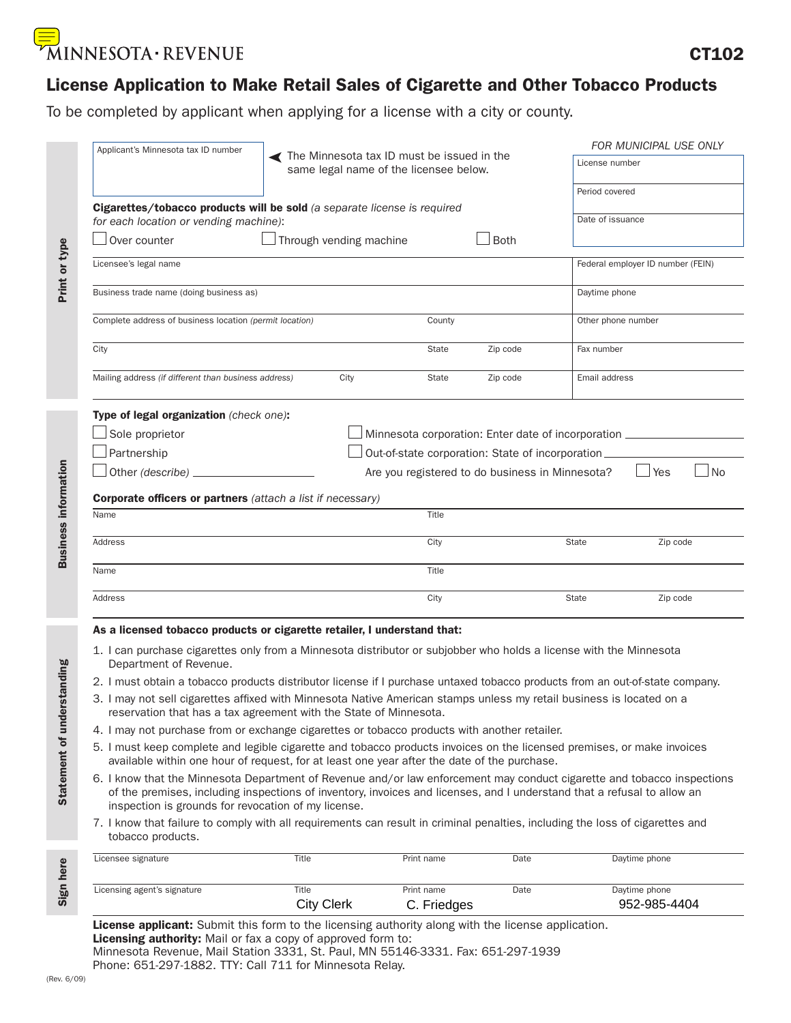# MINNESOTA · REVENUE

# License Application to Make Retail Sales of Cigarette and Other Tobacco Products

To be completed by applicant when applying for a license with a city or county.

| Title                                                                                                                                                                                     | Print name | Date                                                                                                                                                                                                                                                          | Daytime phone                                                                                                                                                                                                                                                                                                                                                                                                                                                                                                                                                                                                                                                                                                                                                                                                                             |  |
|-------------------------------------------------------------------------------------------------------------------------------------------------------------------------------------------|------------|---------------------------------------------------------------------------------------------------------------------------------------------------------------------------------------------------------------------------------------------------------------|-------------------------------------------------------------------------------------------------------------------------------------------------------------------------------------------------------------------------------------------------------------------------------------------------------------------------------------------------------------------------------------------------------------------------------------------------------------------------------------------------------------------------------------------------------------------------------------------------------------------------------------------------------------------------------------------------------------------------------------------------------------------------------------------------------------------------------------------|--|
|                                                                                                                                                                                           |            |                                                                                                                                                                                                                                                               |                                                                                                                                                                                                                                                                                                                                                                                                                                                                                                                                                                                                                                                                                                                                                                                                                                           |  |
| inspection is grounds for revocation of my license.                                                                                                                                       |            |                                                                                                                                                                                                                                                               |                                                                                                                                                                                                                                                                                                                                                                                                                                                                                                                                                                                                                                                                                                                                                                                                                                           |  |
| available within one hour of request, for at least one year after the date of the purchase.                                                                                               |            |                                                                                                                                                                                                                                                               |                                                                                                                                                                                                                                                                                                                                                                                                                                                                                                                                                                                                                                                                                                                                                                                                                                           |  |
| 5. I must keep complete and legible cigarette and tobacco products invoices on the licensed premises, or make invoices                                                                    |            |                                                                                                                                                                                                                                                               |                                                                                                                                                                                                                                                                                                                                                                                                                                                                                                                                                                                                                                                                                                                                                                                                                                           |  |
| 4. I may not purchase from or exchange cigarettes or tobacco products with another retailer.                                                                                              |            |                                                                                                                                                                                                                                                               |                                                                                                                                                                                                                                                                                                                                                                                                                                                                                                                                                                                                                                                                                                                                                                                                                                           |  |
| 3. I may not sell cigarettes affixed with Minnesota Native American stamps unless my retail business is located on a<br>reservation that has a tax agreement with the State of Minnesota. |            |                                                                                                                                                                                                                                                               |                                                                                                                                                                                                                                                                                                                                                                                                                                                                                                                                                                                                                                                                                                                                                                                                                                           |  |
| 2. I must obtain a tobacco products distributor license if I purchase untaxed tobacco products from an out-of-state company.                                                              |            |                                                                                                                                                                                                                                                               |                                                                                                                                                                                                                                                                                                                                                                                                                                                                                                                                                                                                                                                                                                                                                                                                                                           |  |
|                                                                                                                                                                                           |            |                                                                                                                                                                                                                                                               |                                                                                                                                                                                                                                                                                                                                                                                                                                                                                                                                                                                                                                                                                                                                                                                                                                           |  |
|                                                                                                                                                                                           |            |                                                                                                                                                                                                                                                               |                                                                                                                                                                                                                                                                                                                                                                                                                                                                                                                                                                                                                                                                                                                                                                                                                                           |  |
|                                                                                                                                                                                           | City       |                                                                                                                                                                                                                                                               | Zip code                                                                                                                                                                                                                                                                                                                                                                                                                                                                                                                                                                                                                                                                                                                                                                                                                                  |  |
|                                                                                                                                                                                           | Title      |                                                                                                                                                                                                                                                               |                                                                                                                                                                                                                                                                                                                                                                                                                                                                                                                                                                                                                                                                                                                                                                                                                                           |  |
|                                                                                                                                                                                           |            |                                                                                                                                                                                                                                                               | Zip code                                                                                                                                                                                                                                                                                                                                                                                                                                                                                                                                                                                                                                                                                                                                                                                                                                  |  |
|                                                                                                                                                                                           |            |                                                                                                                                                                                                                                                               |                                                                                                                                                                                                                                                                                                                                                                                                                                                                                                                                                                                                                                                                                                                                                                                                                                           |  |
|                                                                                                                                                                                           | Title      |                                                                                                                                                                                                                                                               |                                                                                                                                                                                                                                                                                                                                                                                                                                                                                                                                                                                                                                                                                                                                                                                                                                           |  |
|                                                                                                                                                                                           |            |                                                                                                                                                                                                                                                               |                                                                                                                                                                                                                                                                                                                                                                                                                                                                                                                                                                                                                                                                                                                                                                                                                                           |  |
|                                                                                                                                                                                           |            |                                                                                                                                                                                                                                                               | Yes<br>l No                                                                                                                                                                                                                                                                                                                                                                                                                                                                                                                                                                                                                                                                                                                                                                                                                               |  |
|                                                                                                                                                                                           |            |                                                                                                                                                                                                                                                               |                                                                                                                                                                                                                                                                                                                                                                                                                                                                                                                                                                                                                                                                                                                                                                                                                                           |  |
| Type of legal organization (check one):                                                                                                                                                   |            |                                                                                                                                                                                                                                                               |                                                                                                                                                                                                                                                                                                                                                                                                                                                                                                                                                                                                                                                                                                                                                                                                                                           |  |
| Mailing address (if different than business address)                                                                                                                                      | State      |                                                                                                                                                                                                                                                               | Email address                                                                                                                                                                                                                                                                                                                                                                                                                                                                                                                                                                                                                                                                                                                                                                                                                             |  |
|                                                                                                                                                                                           | State      |                                                                                                                                                                                                                                                               | Fax number                                                                                                                                                                                                                                                                                                                                                                                                                                                                                                                                                                                                                                                                                                                                                                                                                                |  |
| Complete address of business location (permit location)                                                                                                                                   | County     |                                                                                                                                                                                                                                                               | Other phone number                                                                                                                                                                                                                                                                                                                                                                                                                                                                                                                                                                                                                                                                                                                                                                                                                        |  |
| Business trade name (doing business as)                                                                                                                                                   |            |                                                                                                                                                                                                                                                               | Daytime phone                                                                                                                                                                                                                                                                                                                                                                                                                                                                                                                                                                                                                                                                                                                                                                                                                             |  |
|                                                                                                                                                                                           |            |                                                                                                                                                                                                                                                               | Federal employer ID number (FEIN)                                                                                                                                                                                                                                                                                                                                                                                                                                                                                                                                                                                                                                                                                                                                                                                                         |  |
|                                                                                                                                                                                           |            |                                                                                                                                                                                                                                                               |                                                                                                                                                                                                                                                                                                                                                                                                                                                                                                                                                                                                                                                                                                                                                                                                                                           |  |
| for each location or vending machine):                                                                                                                                                    |            |                                                                                                                                                                                                                                                               | Date of issuance                                                                                                                                                                                                                                                                                                                                                                                                                                                                                                                                                                                                                                                                                                                                                                                                                          |  |
|                                                                                                                                                                                           |            |                                                                                                                                                                                                                                                               | Period covered                                                                                                                                                                                                                                                                                                                                                                                                                                                                                                                                                                                                                                                                                                                                                                                                                            |  |
|                                                                                                                                                                                           |            |                                                                                                                                                                                                                                                               | License number                                                                                                                                                                                                                                                                                                                                                                                                                                                                                                                                                                                                                                                                                                                                                                                                                            |  |
|                                                                                                                                                                                           | City       | Cigarettes/tobacco products will be sold (a separate license is required<br>Through vending machine<br><b>Corporate officers or partners</b> (attach a list if necessary)<br>City<br>As a licensed tobacco products or cigarette retailer, I understand that: | The Minnesota tax ID must be issued in the<br>same legal name of the licensee below.<br><b>Both</b><br>Zip code<br>Zip code<br>Minnesota corporation: Enter date of incorporation __________<br>Out-of-state corporation: State of incorporation<br>Are you registered to do business in Minnesota?<br><b>State</b><br>State<br>1. I can purchase cigarettes only from a Minnesota distributor or subjobber who holds a license with the Minnesota<br>6. I know that the Minnesota Department of Revenue and/or law enforcement may conduct cigarette and tobacco inspections<br>of the premises, including inspections of inventory, invoices and licenses, and I understand that a refusal to allow an<br>7. I know that failure to comply with all requirements can result in criminal penalties, including the loss of cigarettes and |  |

Sign here

ć